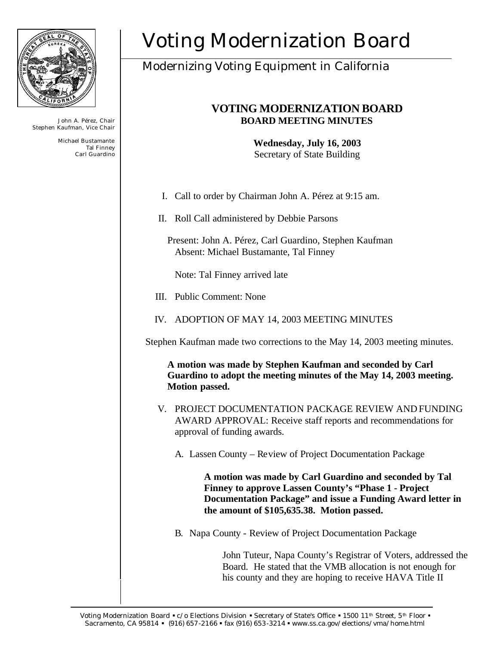

John A. Pérez, Chair Stephen Kaufman, Vice Chair

> Michael Bustamante Tal Finney Carl Guardino

# Voting Modernization Board

# Modernizing Voting Equipment in California

## **VOTING MODERNIZATION BOARD BOARD MEETING MINUTES**

**Wednesday, July 16, 2003** Secretary of State Building

- I. Call to order by Chairman John A. Pérez at 9:15 am.
- II. Roll Call administered by Debbie Parsons
	- Present: John A. Pérez, Carl Guardino, Stephen Kaufman Absent: Michael Bustamante, Tal Finney

Note: Tal Finney arrived late

- III. Public Comment: None
- IV. ADOPTION OF MAY 14, 2003 MEETING MINUTES

Stephen Kaufman made two corrections to the May 14, 2003 meeting minutes.

**A motion was made by Stephen Kaufman and seconded by Carl Guardino to adopt the meeting minutes of the May 14, 2003 meeting. Motion passed.**

- V. PROJECT DOCUMENTATION PACKAGE REVIEW AND FUNDING AWARD APPROVAL: Receive staff reports and recommendations for approval of funding awards.
	- A. Lassen County Review of Project Documentation Package

**A motion was made by Carl Guardino and seconded by Tal Finney to approve Lassen County's "Phase 1 - Project Documentation Package" and issue a Funding Award letter in the amount of \$105,635.38. Motion passed.**

B. Napa County - Review of Project Documentation Package

John Tuteur, Napa County's Registrar of Voters, addressed the Board. He stated that the VMB allocation is not enough for his county and they are hoping to receive HAVA Title II